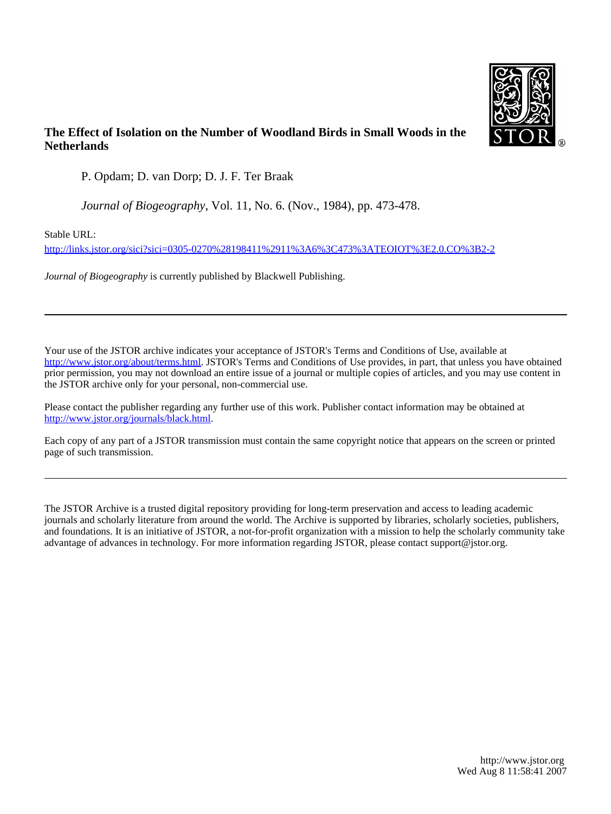

# **The Effect of Isolation on the Number of Woodland Birds in Small Woods in the Netherlands**

P. Opdam; D. van Dorp; D. J. F. Ter Braak

*Journal of Biogeography*, Vol. 11, No. 6. (Nov., 1984), pp. 473-478.

Stable URL:

<http://links.jstor.org/sici?sici=0305-0270%28198411%2911%3A6%3C473%3ATEOIOT%3E2.0.CO%3B2-2>

*Journal of Biogeography* is currently published by Blackwell Publishing.

Your use of the JSTOR archive indicates your acceptance of JSTOR's Terms and Conditions of Use, available at [http://www.jstor.org/about/terms.html.](http://www.jstor.org/about/terms.html) JSTOR's Terms and Conditions of Use provides, in part, that unless you have obtained prior permission, you may not download an entire issue of a journal or multiple copies of articles, and you may use content in the JSTOR archive only for your personal, non-commercial use.

Please contact the publisher regarding any further use of this work. Publisher contact information may be obtained at <http://www.jstor.org/journals/black.html>.

Each copy of any part of a JSTOR transmission must contain the same copyright notice that appears on the screen or printed page of such transmission.

The JSTOR Archive is a trusted digital repository providing for long-term preservation and access to leading academic journals and scholarly literature from around the world. The Archive is supported by libraries, scholarly societies, publishers, and foundations. It is an initiative of JSTOR, a not-for-profit organization with a mission to help the scholarly community take advantage of advances in technology. For more information regarding JSTOR, please contact support@jstor.org.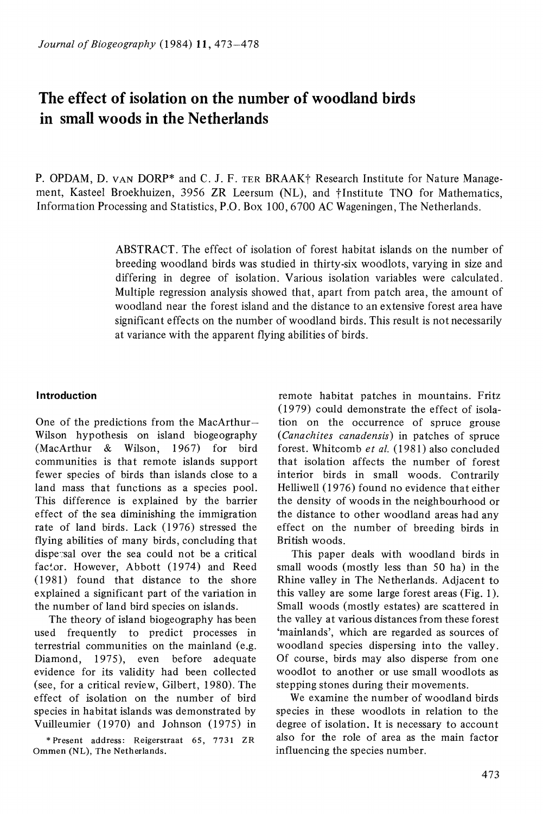# **The effect of isolation on the number of woodland birds in small woods in the Netherlands**

P. OPDAM, D. VAN DORP\* and C. J. F. TER BRAAK† Research Institute for Nature Management, Kasteel Broekhuizen, 3956 ZR Leersum (NL), and †Institute TNO for Mathematics, Information Processing and Statistics, P.O. Box 100,6700 AC Wageningen, The Netherlands.

> ABSTRACT. The effect of isolation of forest habitat islands on the number of breeding woodland birds was studied in thirty-six woodlots, varying in size and differing in degree of isolation. Various isolation variables were calculated. Multiple regression analysis showed that, apart from patch area, the amount of woodland near the forest island and the distance to an extensive forest area have significant effects on the number of woodland birds. This result is not necessarily at variance with the apparent flying abilities of birds.

### **Introduction**

One of the predictions from the MacArthur-Wilson hypothesis on island biogeography (MacArthur & Wilson, 1967) for bird communities is that remote islands support fewer species of birds than islands close to a land mass that functions as a species pool. This difference is explained by the barrier effect of the sea diminishing the immigration rate of land birds. Lack ( 1976) stressed the flying abilities of many birds, concluding that disperisal over the sea could not be a critical factor. However, Abbott (1974) and Reed (19 81) found that distance to the shore explained a significant part of the variation in the number of land bird species on islands.

The theory of island biogeography has been used frequently to predict processes in terrestrial communities on the mainland (e.g. Diamond, 1975), even before adequate evidence for its validity had been collected (see, for a critical review, Gilbert, 1980). The effect of isolation on the number of bird species in habitat islands was demonstrated by Vuilleumier (1970) and Johnson (1975) in

• Present address: Reigerstraat 65, 7731 ZR Ommen (NL), The Netherlands.

remote habitat patches in mountains. Fritz (1979) could demonstrate the effect of isolation on the occurrence of spruce grouse *(Canachites canadensis)* in patches of spruce forest. Whitcomb *et al.* (1981) also concluded that isolation affects the number of forest interior birds in small woods. Contrarily Helliwell (1976) found no evidence that either the density of woods in the neighbourhood or the distance to other woodland areas had any effect on the number of breeding birds in British woods.

This paper deals with woodland birds in small woods (mostly less than 50 ha) in the Rhine valley in The Netherlands. Adjacent to this valley are some large forest areas (Fig. 1 ). Small woods (mostly estates) are scattered in the valley at various distances from these forest 'mainlands', which are regarded as sources of woodland species dispersing into the valley. Of course, birds may also disperse from one woodlot to another or use small woodlots as stepping stones during their movements.

We examine the number of woodland birds species in these woodlots in relation to the degree of isolation. It is necessary to account also for the role of area as the main factor influencing the species number.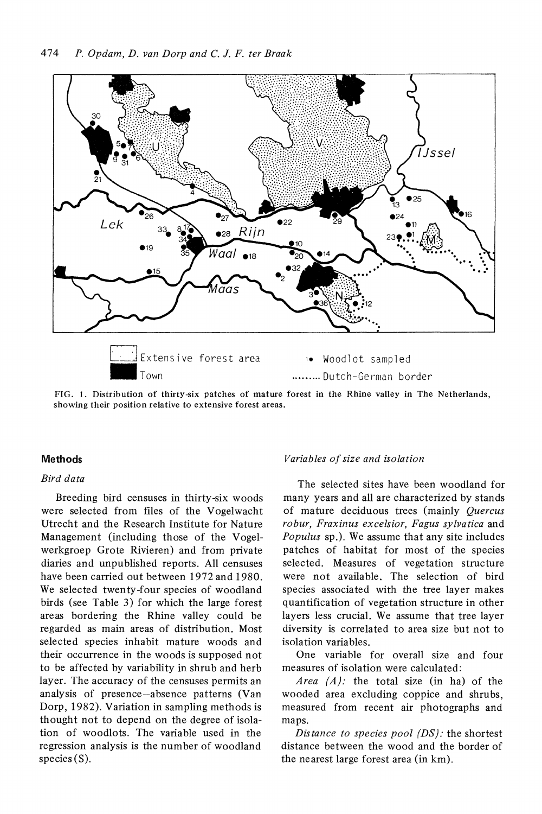

FIG. 1. Distribution of thirty-six patches of mature forest in the Rhine valley in The Netherlands, showing their position relative to extensive forest areas.

#### **Methods**

#### *Bird data*

Breeding bird censuses in thirty-six woods were selected from files of the Vogelwacht Utrecht and the Research Institute for Nature Management (including those of the Vogelwerkgroep Grote Rivieren) and from private diaries and unpublished reports. All censuses have been carried out between 1972 and 1980. We selected twenty-four species of woodland birds (see Table 3) for which the large forest areas bordering the Rhine valley could be regarded as main areas of distribution. Most selected species inhabit mature woods and their occurrence in the woods is supposed not to be affected by variability in shrub and herb layer. The accuracy of the censuses permits an analysis of presence-absence patterns (Van Dorp, 1982). Variation in sampling methods is thought not to depend on the degree of isolation of woodlots. The variable used in the regression analysis is the number of woodland species (S).

#### *Variables of size and isolation*

The selected sites have been woodland for many years and all are characterized by stands of mature deciduous trees (mainly *Quercus robur, Fraxinus excelsior, Fagus sylvatica* and *Populus* sp.). We assume that any site includes patches of habitat for most of the species selected. Measures of vegetation structure were not available. The selection of bird species associated with the tree layer makes quantification of vegetation structure in other layers less crucial. We assume that tree layer diversity is correlated to area size but not to isolation variables.

One variable for overall size and four measures of isolation were calculated:

*Area (A):* the total size (in ha) of the wooded area excluding coppice and shrubs, measured from recent air photographs and maps.

*Distance to species pool (DS):* the shortest distance between the wood and the border of the nearest large forest area (in km).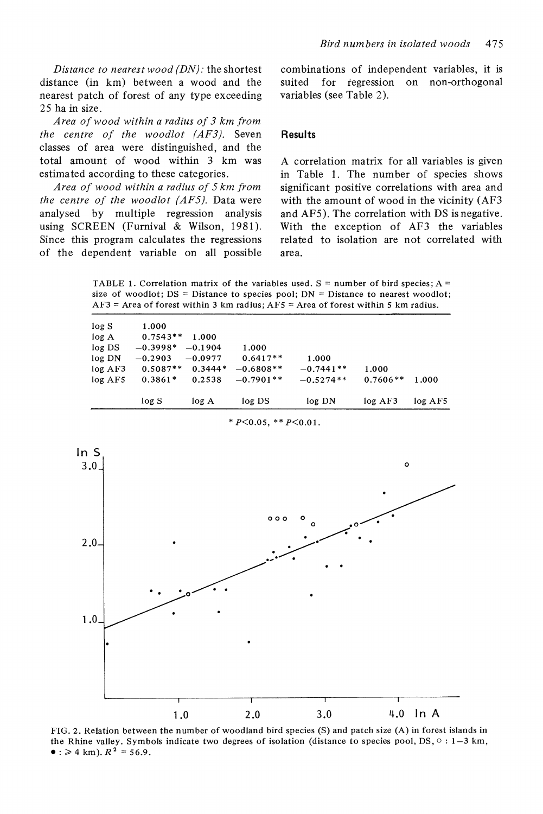*Distance to nearest wood (DN):* the shortest distance (in km) between a wood and the nearest patch of forest of any type exceeding 25 ha in size.

*Area of wood within a radius of 3 km from the centre of the woodlot (AFJ).* Seven classes of area were distinguished, and the total amount of wood within 3 km was estimated according to these categories.

*Area of wood within a radius of 5 km from the centre of the woodlot (AF5).* Data were analysed by multiple regression analysis using SCREEN (Furnival & Wilson, 1981). Since this program calculates the regressions of the dependent variable on all possible combinations of independent variables, it is suited for regression on non-orthogonal variables (see Table 2).

#### **Results**

A correlation matrix for all variables is given in Table 1. The number of species shows significant positive correlations with area and with the amount of wood in the vicinity (AF3 and AF5). The correlation with DS is negative. With the exception of AF3 the variables related to isolation are not correlated with area.

TABLE 1. Correlation matrix of the variables used.  $S =$  number of bird species;  $A =$ size of woodlot;  $DS = Distance$  to species pool;  $DN = Distance$  to nearest woodlot;  $AF3$  = Area of forest within 3 km radius;  $AF5$  = Area of forest within 5 km radius.

| log S      | log DS<br>log A          | log DN                          | log AF3             | log AF5 |
|------------|--------------------------|---------------------------------|---------------------|---------|
|            |                          |                                 |                     |         |
| $0.3861*$  | $-0.7901**$<br>0.2538    | $-0.5274**$                     | $0.7606**$          | 1.000   |
| $0.5087**$ | $0.3444*$<br>$-0.6808**$ | $-0.7441**$                     | 1.000               |         |
| $-0.2903$  |                          |                                 |                     |         |
| $-0.3998*$ |                          |                                 |                     |         |
| $0.7543**$ |                          |                                 |                     |         |
| 1.000      |                          |                                 |                     |         |
|            |                          | 1.000<br>$-0.1904$<br>$-0.0977$ | 1.000<br>$0.6417**$ | 1.000   |

 $* P< 0.05$ ,  $* P< 0.01$ .



FIG. 2. Relation between the number of woodland bird species (S) and patch size (A) in forest islands in the Rhine valley. Symbols indicate two degrees of isolation (distance to species pool,  $DS$ ,  $\circ$  : 1–3 km,  $\bullet$  :  $\geq 4$  km).  $R^2 = 56.9$ .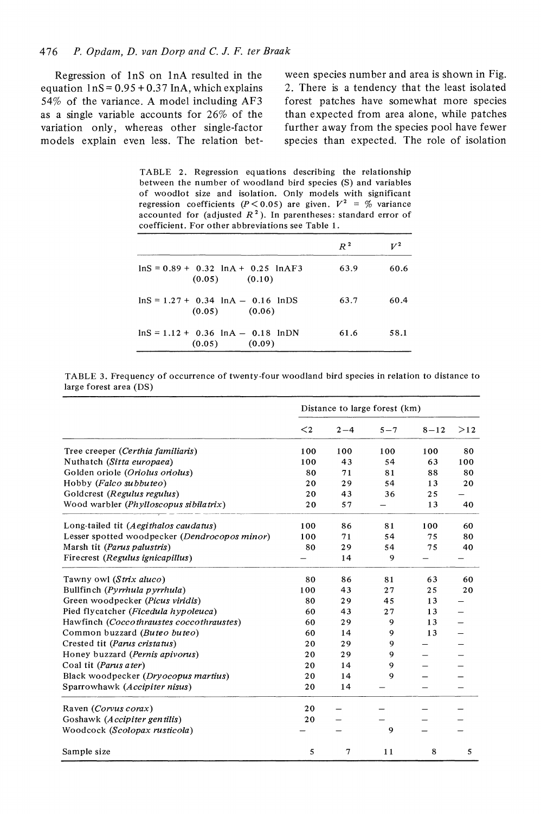#### 476 *P. Opdam, D. van Dorp and C.* J. *F. ter Braak*

Regression of InS on InA resulted in the equation  $1nS = 0.95 + 0.37$  InA, which explains 54% of the variance. A model including AF3 as a single variable accounts for 26% of the variation only, whereas other single-factor models explain even less. The relation between species number and area is shown in Fig. 2. There is a tendency that the least isolated forest patches have somewhat more species than expected from area alone, while patches further away from the species pool have fewer species than expected. The role of isolation

|  |  | TABLE 2. Regression equations describing the relationship             |  |
|--|--|-----------------------------------------------------------------------|--|
|  |  | between the number of woodland bird species (S) and variables         |  |
|  |  | of woodlot size and isolation. Only models with significant           |  |
|  |  | regression coefficients ( $P < 0.05$ ) are given. $V^2 = \%$ variance |  |
|  |  | accounted for (adjusted $R2$ ). In parentheses: standard error of     |  |
|  |  | coefficient. For other abbreviations see Table 1.                     |  |

|                                                                 | $R^2$ | $V^2$ |
|-----------------------------------------------------------------|-------|-------|
| $\ln S = 0.89 + 0.32 \ln A + 0.25 \ln AF3$<br>$(0.05)$ $(0.10)$ | 63.9  | 60.6  |
| $lnS = 1.27 + 0.34 lnA - 0.16 lnDS$<br>$(0.05)$ $(0.06)$        | 63.7  | 60.4  |
| $lnS = 1.12 + 0.36$ $lnA = 0.18$ $lnDN$<br>$(0.05)$ $(0.09)$    | 61.6  | 58.1  |

TABLE 3. Frequency of occurrence of twenty-four woodland bird species in relation to distance to large forest area (DS)

|                                               |         | Distance to large forest (km) |         |          |                          |
|-----------------------------------------------|---------|-------------------------------|---------|----------|--------------------------|
|                                               | $\lt$ 2 | $2 - 4$                       | $5 - 7$ | $8 - 12$ | >12                      |
| Tree creeper (Certhia familiaris)             | 100     | 100                           | 100     | 100      | 80                       |
| Nuthatch (Sitta europaea)                     | 100     | 43                            | 54      | 63       | 100                      |
| Golden oriole (Oriolus oriolus)               | 80      | 71                            | 81      | 88       | 80                       |
| Hobby (Falco subbuteo)                        | 20      | 29                            | 54      | 13       | 20                       |
| Goldcrest (Regulus regulus)                   | 20      | 43                            | 36      | 25       |                          |
| Wood warbler (Phylloscopus sibilatrix)        | 20      | 57                            |         | 13       | 40                       |
| Long-tailed tit (Aegithalos caudatus)         | 100     | 86                            | 81      | 100      | 60                       |
| Lesser spotted woodpecker (Dendrocopos minor) | 100     | 71                            | 54      | 75       | 80                       |
| Marsh tit (Parus palustris)                   | 80      | 29                            | 54      | 75       | 40                       |
| Firecrest (Regulus ignicapillus)              |         | 14                            | 9       |          |                          |
| Tawny owl (Strix aluco)                       | 80      | 86                            | 81      | 63       | 60                       |
| Bullfinch (Pyrrhula pyrrhula)                 | 100     | 43                            | 27      | 25       | 20                       |
| Green woodpecker (Picus viridis)              | 80      | 29                            | 45      | 13       |                          |
| Pied flycatcher (Ficedula hypoleuca)          | 60      | 43                            | 27      | 13       | $\overline{\phantom{0}}$ |
| Hawfinch (Coccothraustes coccothraustes)      | 60      | 29                            | 9       | 13       |                          |
| Common buzzard (Buteo buteo)                  | 60      | 14                            | 9       | 13       |                          |
| Crested tit (Parus cristatus)                 | 20      | 29                            | 9       |          |                          |
| Honey buzzard (Pernis apivorus)               | 20      | 29                            | 9       |          |                          |
| Coal tit (Parus ater)                         | 20      | 14                            | 9       |          |                          |
| Black woodpecker (Dryocopus martius)          | 20      | 14                            | 9       |          |                          |
| Sparrowhawk (Accipiter nisus)                 | 20      | 14                            |         |          |                          |
| Raven (Corvus corax)                          | 20      |                               |         |          |                          |
| Goshawk (Accipiter gentilis)                  | 20      |                               |         |          |                          |
| Woodcock (Scolopax rusticola)                 |         |                               | 9       |          |                          |
| Sample size                                   | 5       | 7                             | 11      | 8        | 5                        |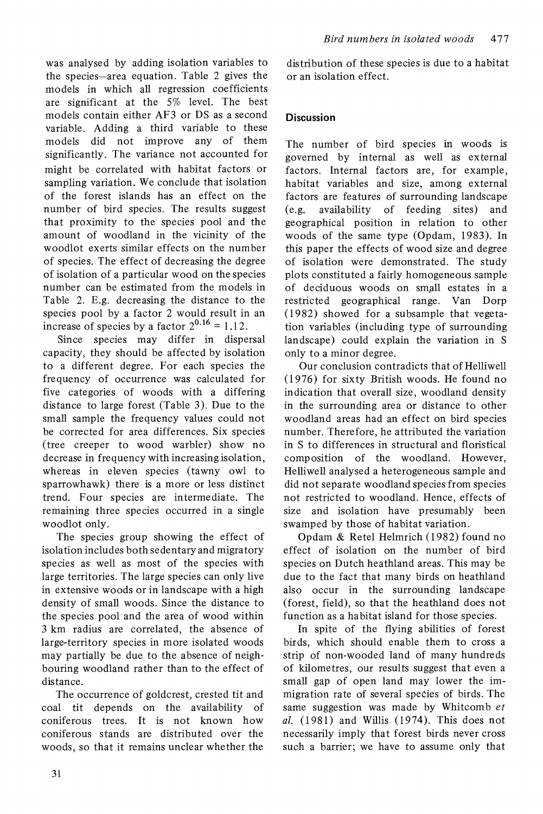was analysed by adding isolation variables to the species-area equation. Table 2 gives the models in which all regression coefficients are significant at the 5% level. The best models contain either AF3 or DS as a second variable. Adding a third variable to these models did not improve any of them significantly. The variance not accounted for might be correlated with habitat factors or sampling variation. We conclude that isolation of the forest islands has an effect on the number of bird species. The results suggest that proximity to the species pool and the amount of woodland in the vicinity of the woodlot exerts similar effects on the number of species. The effect of decreasing the degree of isolation of a particular wood on the species number can be estimated from the models in Table 2. E.g. decreasing the distance to the species pool by a factor 2 would result in an increase of species by a factor  $2^{0.16} = 1.12$ .

Since species may differ in dispersal capacity, they should be affected by isolation to a different degree. For each species the frequency of occurrence was calculated for five categories of woods with a differing distance to large forest (Table 3). Due to the small sample the frequency values could not be corrected for area differences. Six species (tree creeper to wood warbler) show no decrease in frequency with increasing isolation, whereas in eleven species (tawny owl to sparrowhawk) there is a more or less distinct trend. Four species are intermediate. The remaining three species occurred in a single woodlot only.

The species group showing the effect of isolation includes both sedentary and migratory species as well as most of the species with large territories. The large species can only live in extensive woods or in landscape with a high density of small woods. Since the distance to the species pool and the area of wood within 3 km radius are correlated, the absence of large-territory species in more isolated woods may partially be due to the absence of neighbouring woodland rather than to the effect of distance.

The occurrence of goldcrest, crested tit and coal tit depends on the availability of coniferous trees. It is not known how coniferous stands are distributed over the woods, so that it remains unclear whether the

distribution of these species is due to a habitat or an isolation effect.

## **Discussion**

The number of bird species in woods is governed by internal as well as external factors. Internal factors are, for example, habitat variables and size, among external factors are features of surrounding landscape (e.g. availability of feeding sites) and geographical position in relation to other woods of the same type (Opdam, 1983). In this paper the effects of wood size and degree of isolation were demonstrated. The study plots constituted a fairly homogeneous sample of deciduous woods on small estates in a restricted geographical range. Van Dorp (1982) showed for a subsample that vegetation variables (including type of surrounding landscape) could explain the variation in S only to a minor degree.

Our conclusion contradicts that of Helliwell (1976) for sixty British woods. He found no indication that overall size, woodland density in the surrounding area or distance to other woodland areas had an effect on bird species number. Therefore, he attributed the variation in S to differences in structural and floristical composition of the woodland. However, Helliwell analysed a heterogeneous sample and did not separate woodland species from species not restricted to woodland. Hence, effects of size and isolation have presumably been swamped by those of habitat variation.

Opdam & Retel Helmrich (1982) found no effect of isolation on the number of bird species on Dutch heathland areas. This may be due to the fact that many birds on heathland also occur in the surrounding landscape (forest, field), so that the heathland does not function as a habitat island for those species.

In spite of the flying abilities of forest birds, which should enable therh to cross a strip of non-wooded land of many hundreds of kilometres, our results suggest that even a small gap of open land may lower the immigration rate of several species of birds. The same suggestion was made by Whitcomb *et al.* (1981) and Willis (1974). This does not necessarily imply that forest birds never cross such a barrier; we have to assume only that